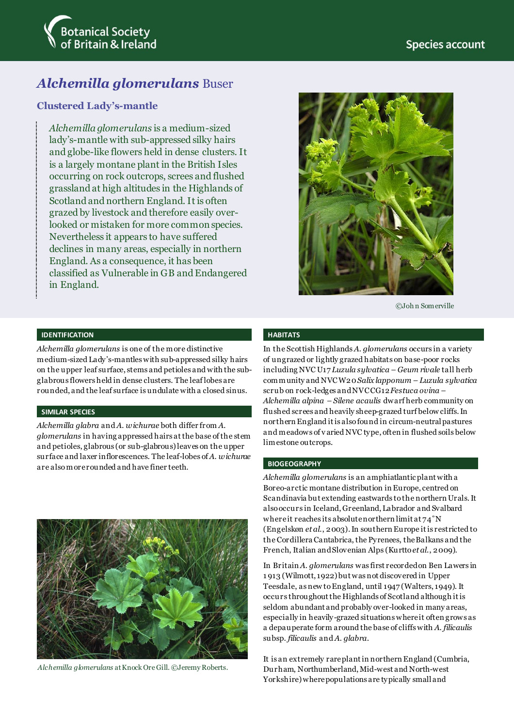

# *Alchemilla glomerulans* Buser

## **Clustered Lady's-mantle**

*Alchemilla glomerulans* is a medium-sized lady's-mantle with sub-appressed silky hairs and globe-like flowers held in dense clusters. It is a largely montane plant in the British Isles occurring on rock outcrops, screes and flushed grassland at high altitudes in the Highlands of Scotland and northern England. It is often grazed by livestock and therefore easily overlooked or mistaken for more common species. Nevertheless it appears to have suffered declines in many areas, especially in northern England. As a consequence, it has been classified as Vulnerable in GB and Endangered in England.



©Joh n Somerville

#### **IDENTIFICATION**

*Alchemilla glomerulans* is one of the more distinctive medium-sized Lady's-mantles with sub-appressed silky hairs on the upper leaf surface, stems and petioles and with the subglabrous flowers held in dense clusters. The leaf lobes are rounded, and the leaf surface is undulate with a closed sinus.

#### **SIMILAR SPECIES**

*Alchemilla glabra* and *A. wichurae* both differ from *A. glomerulans* in having appressed hairs at the base of the stem and petioles, glabrous (or sub-glabrous) leaves on the upper surface and laxer inflorescences. The leaf-lobes of *A. wichurae* are also more rounded and have finer teeth.



*Alchemilla glomerulans* at Knock Ore Gill. ©Jeremy Roberts.

#### **HABITATS**

In the Scottish Highlands *A. glomerulans* occurs in a variety of ungrazed or lightly grazed habitats on base-poor rocks including NVC U17 *Luzula sylvatica – Geum rivale* tall herb community and NVC W20*Salix lapponum – Luzula sylvatica* scrub on rock-ledges and NVC CG12*Festuca ovina – Alchemilla alpina – Silene acaulis* dwarf herb community on flushed screes and heavily sheep-grazed turf below cliffs. In northern England it is also found in circum-neutralpastures and meadows of v aried NVC type, often in flushed soils below limestone outcrops.

#### **BIOGEOGRAPHY**

*Alchemilla glomerulans* is an amphiatlantic plant with a Boreo-arctic montane distribution in Europe, centred on Scandinavia but extending eastwards to the northern Urals.It also occurs in Iceland, Greenland, Labrador and Svalbard where it reaches its absolute northern limit at 74˚N (Engelskøn *et al*., 2003). In southern Europe it is restricted to the Cordillera Cantabrica, the Pyrenees, the Balkans and the French, Italian and Slovenian Alps (Kurtto *et al*., 2009).

In Britain *A. glomerulans* was first recorded on Ben Lawers in 1 913 (Wilmott, 1922) but was not discovered in Upper Teesdale, as new to England, until 1947 (Walters, 1949). It occurs throughout the Highlands of Scotland although it is seldom abundant and probably over-looked in many areas, especially in heavily-grazed situations where it often grows as a depauperate form around the base of cliffs with *A. filicaulis*  subsp. *filicaulis* and *A. glabra*.

It is an extremely rare plant in northern England (Cumbria, Durham, Northumberland, Mid-west and North-west Yorkshire) wherepopulations are typically small and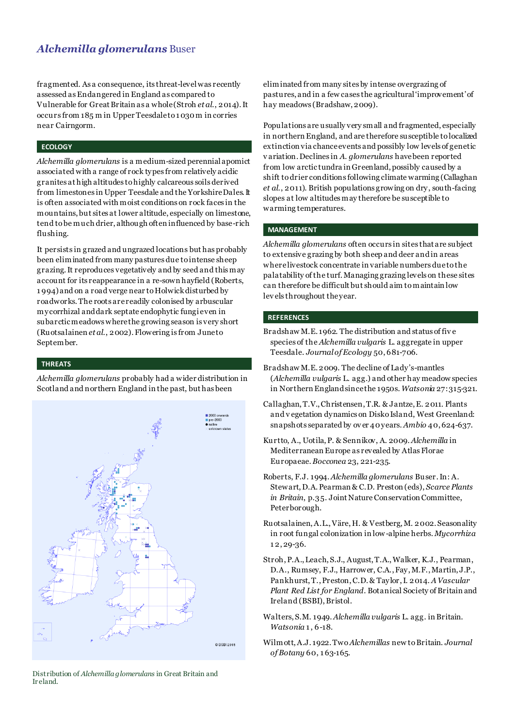# *Alchemilla glomerulans* Buser

fragmented. As a consequence, its threat-level was recently assessed as Endangered in England as compared to Vulnerable for Great Britain as a whole (Stroh *et al*., 2014).It occurs from 185 m in Upper Teesdale to 1 030 m in corries near Cairngorm.

## **ECOLOGY**

*Alchemilla glomerulans* is a medium-sized perennial apomict associated with a range of rock types from relatively acidic granites at high altitudes to highly calcareous soils derived from limestones in Upper Teesdale and the Yorkshire Dales. It is often associated with moist conditions on rock faces in the mountains, but sites at lower altitude, especially on limestone, tend to be much drier, although often influenced by base-rich flushing.

It persists in grazed and ungrazed locations but has probably been eliminated from many pastures due to intense sheep grazing. It reproduces vegetatively and by seed and this may account for its reappearance in a re-sown hayfield (Roberts, 1 994) and on a road verge near to Holwick disturbed by roadworks. The roots are readily colonised by arbuscular mycorrhizal and dark septate endophytic fungi even in subarctic meadows where the growing season is very short (Ruotsalainen *et al*., 2002). Flowering is from June to September.

## **THREATS**

*Alchemilla glomerulans* probably had a wider distribution in Scotland and northern England in the past, but has been





eliminated from many sites by intense overgrazing of pastures, and in a few cases the agricultural 'improvement' of hay meadows (Bradshaw, 2009).

Populations are usually very small and fragmented, especially in northern England, and are therefore susceptible to localized extinction via chance events and possibly low levels of genetic v ariation. Declines in *A. glomerulans* have been reported from low arctic tundra in Greenland, possibly caused by a shift to drier conditions following climate warming (Callaghan *et al*., 2011). British populations growing on dry, south-facing slopes at low altitudes may therefore be susceptible to warming temperatures.

## **MANAGEMENT**

*Alchemilla glomerulans* often occurs in sites that are subject to extensive grazing by both sheep and deer and in areas where livestock concentrate in variable numbers due to the palatability of the turf. Managing grazing levels on these sites can therefore be difficult but should aim to maintain low lev els throughout the year.

### **REFERENCES**

- Bradshaw M.E. 1962. The distribution and status of fiv e species of the *Alchemilla vulgaris* L. aggregate in upper Teesdale. *Journal of Ecology* 50, 681-706.
- Bradshaw M.E. 2009. The decline of Lady's-mantles (*Alchemilla vulgaris* L. agg.) and other hay meadow species in Northern England since the 1950s. *Watsonia* 27:315-321.
- Callaghan, T.V., Christensen, T.R. & Jantze, E. 2011. Plants and v egetation dynamics on Disko Island, West Greenland: snapshots separated by ov er 40 years. *Ambio* 40, 624-637.
- Kurtto, A., Uotila, P. & Sennikov, A. 2009. *Alchemilla* in Mediterranean Europe as revealed by Atlas Florae Europaeae. *Bocconea* 23, 221-235.
- Roberts, F.J. 1994. *Alchemilla glomerulans* Buser. In: A. Stewart, D.A. Pearman & C.D. Preston (eds), *Scarce Plants in Britain*, p.35. Joint Nature Conservation Committee, Peterborough.
- Ruotsalainen, A.L., Väre, H. & Vestberg, M. 2002. Seasonality in root fungal colonization in low-alpine herbs. *Mycorrhiza* 1 2, 29-36.
- Stroh, P.A., Leach, S.J., August, T.A., Walker, K.J., Pearman, D.A., Rumsey, F.J., Harrower, C.A., Fay, M.F., Martin, J.P., Pankhurst, T., Preston, C.D. & Taylor, I. 2014. *A Vascular Plant Red List for England*. Botanical Society of Britain and Ireland (BSBI), Bristol.
- Walters, S.M. 1949. *Alchemilla vulgaris* L. agg. in Britain. *Watsonia* 1 , 6-18.
- Wilmott, A.J. 1922. Two *Alchemillas* new to Britain. *Journal of Botany* 60, 1 63-165.